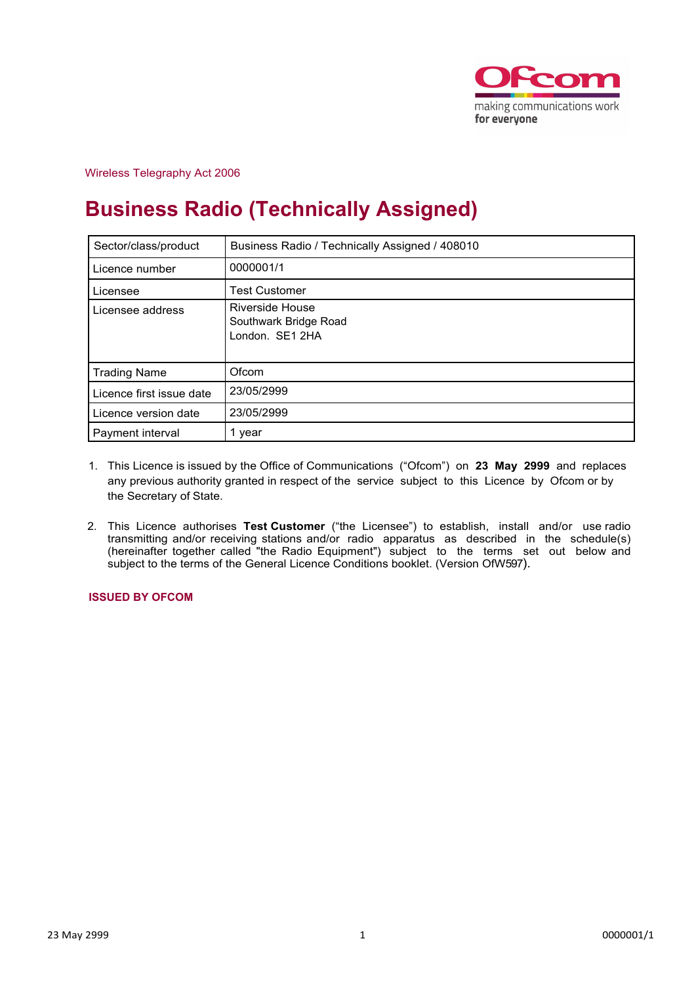

Wireless Telegraphy Act 2006

# **Business Radio (Technically Assigned)**

| Sector/class/product     | Business Radio / Technically Assigned / 408010              |  |  |  |
|--------------------------|-------------------------------------------------------------|--|--|--|
| Licence number           | 0000001/1                                                   |  |  |  |
| Licensee                 | <b>Test Customer</b>                                        |  |  |  |
| Licensee address         | Riverside House<br>Southwark Bridge Road<br>London. SE1 2HA |  |  |  |
| <b>Trading Name</b>      | Ofcom                                                       |  |  |  |
| Licence first issue date | 23/05/2999                                                  |  |  |  |
| Licence version date     | 23/05/2999                                                  |  |  |  |
| Payment interval         | 1 year                                                      |  |  |  |

- 1. This Licence is issued by the Office of Communications ("Ofcom") on **23 May 2999** and replaces any previous authority granted in respect of the service subject to this Licence by Ofcom or by the Secretary of State.
- 2. This Licence authorises **Test Customer** ("the Licensee") to establish, install and/or use radio transmitting and/or receiving stations and/or radio apparatus as described in the schedule(s) (hereinafter together called "the Radio Equipment") subject to the terms set out below and subject to the terms of the General Licence Conditions booklet. (Version OfW597).

**ISSUED BY OFCOM**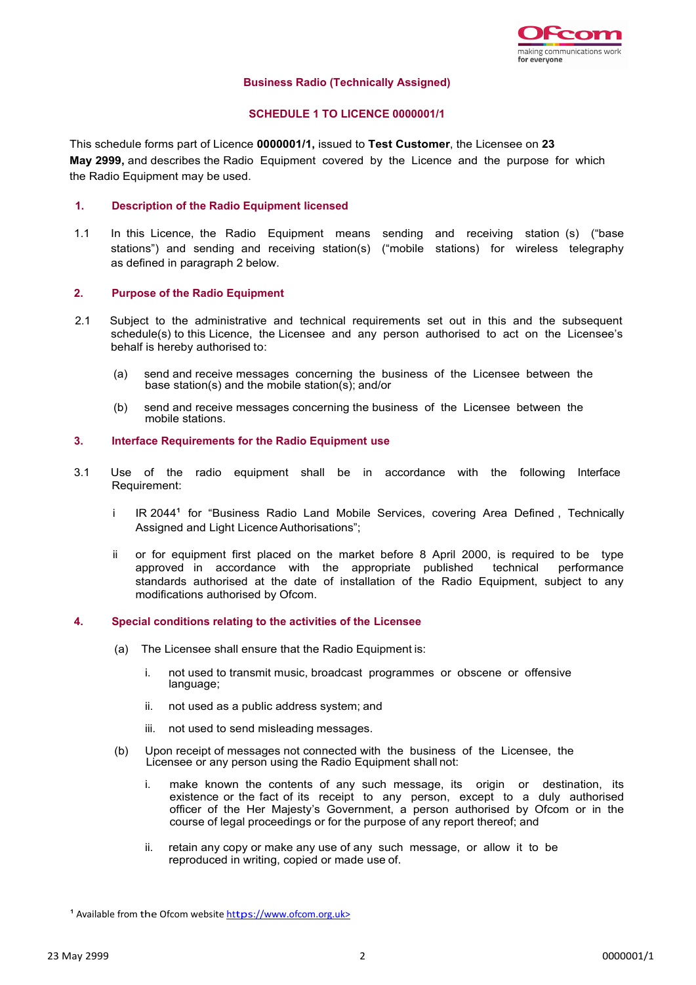

#### **Business Radio (Technically Assigned)**

## **SCHEDULE 1 TO LICENCE 0000001/1**

This schedule forms part of Licence **0000001/1,** issued to **Test Customer**, the Licensee on **23 May 2999,** and describes the Radio Equipment covered by the Licence and the purpose for which the Radio Equipment may be used.

### **1. Description of the Radio Equipment licensed**

1.1 In this Licence, the Radio Equipment means sending and receiving station (s) ("base stations") and sending and receiving station(s) ("mobile stations) for wireless telegraphy as defined in paragraph 2 below.

#### **2. Purpose of the Radio Equipment**

- 2.1 Subject to the administrative and technical requirements set out in this and the subsequent schedule(s) to this Licence, the Licensee and any person authorised to act on the Licensee's behalf is hereby authorised to:
	- (a) send and receive messages concerning the business of the Licensee between the base station(s) and the mobile station(s); and/or
	- (b) send and receive messages concerning the business of the Licensee between the mobile stations.

#### **3. Interface Requirements for the Radio Equipment use**

- 3.1 Use of the radio equipment shall be in accordance with the following Interface Requirement:
	- i IR 2044<sup>1</sup> for "Business Radio Land Mobile Services, covering Area Defined, Technically Assigned and Light Licence Authorisations";
	- ii or for equipment first placed on the market before 8 April 2000, is required to be type approved in accordance with the appropriate published technical performance standards authorised at the date of installation of the Radio Equipment, subject to any modifications authorised by Ofcom.

#### **4. Special conditions relating to the activities of the Licensee**

- (a) The Licensee shall ensure that the Radio Equipment is:
	- i. not used to transmit music, broadcast programmes or obscene or offensive language;
	- ii. not used as a public address system; and
	- iii. not used to send misleading messages.
- (b) Upon receipt of messages not connected with the business of the Licensee, the Licensee or any person using the Radio Equipment shall not:
	- i. make known the contents of any such message, its origin or destination, its existence or the fact of its receipt to any person, except to a duly authorised officer of the Her Majesty's Government, a person authorised by Ofcom or in the course of legal proceedings or for the purpose of any report thereof; and
	- ii. retain any copy or make any use of any such message, or allow it to be reproduced in writing, copied or made use of.

<sup>1</sup> Available from the Ofcom website https://www.ofcom.org.uk>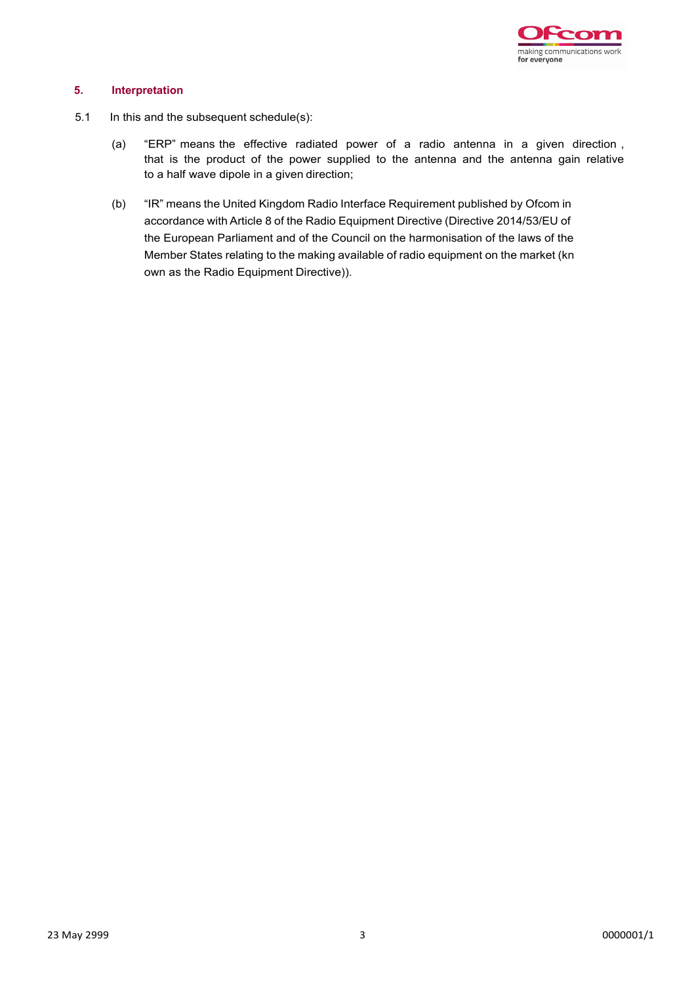

## **5. Interpretation**

- 5.1 In this and the subsequent schedule(s):
	- (a) "ERP" means the effective radiated power of a radio antenna in a given direction , that is the product of the power supplied to the antenna and the antenna gain relative to a half wave dipole in a given direction;
	- (b) "IR" means the United Kingdom Radio Interface Requirement published by Ofcom in accordance with Article 8 of the Radio Equipment Directive (Directive 2014/53/EU of the European Parliament and of the Council on the harmonisation of the laws of the Member States relating to the making available of radio equipment on the market (kn own as the Radio Equipment Directive)).